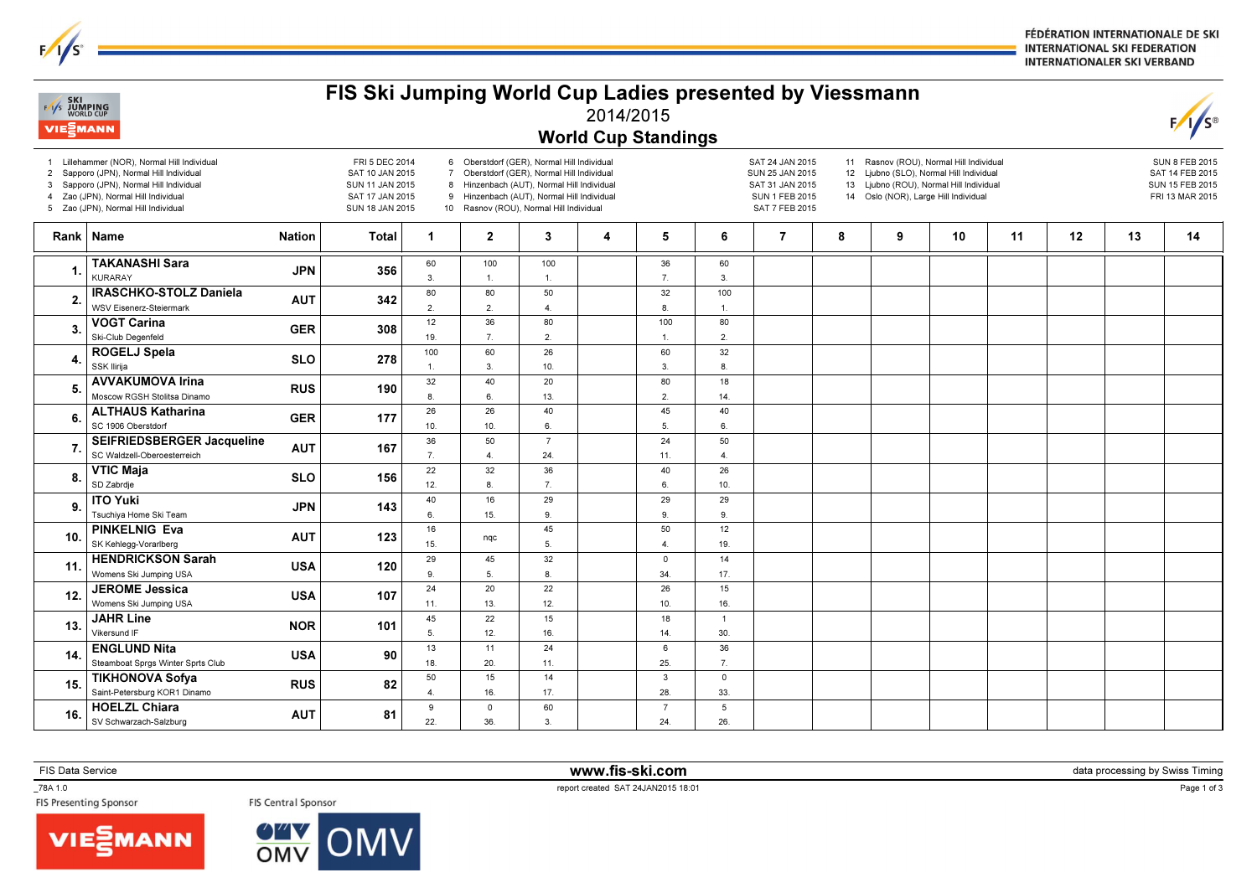FÉDÉRATION INTERNATIONALE DE SKI **INTERNATIONAL SKI FEDERATION INTERNATIONALER SKI VERBAND** 

## **SKI**<br>Vs JUMPING 2014/2015**VIE**<sup>2</sup>MANN World Cup Standings1 Lillehammer (NOR), Normal Hill Individual FRI 5 DEC 20146 Oberstdorf (GER), Normal Hill Individual SAT 24 JAN 201511 Rasnov (ROU), Normal Hill IndividualSUN 8 FEB 2015 2 Sapporo (JPN), Normal Hill Individual7 Oberstdorf (GER), Normal Hill Individual SUN 25 JAN 2015 12 Ljubno (SLO), Normal Hill Individual SAT 10 JAN 2015 SAT 14 FEB 20153 Sapporo (JPN), Normal Hill Individual8 Hinzenbach (AUT), Normal Hill Individual SAT 31 JAN 2015 13 Ljubno (ROU), Normal Hill Individual SUN 11 JAN 2015 SUN 15 FEB 20154 Zao (JPN), Normal Hill Individual9 Hinzenbach (AUT), Normal Hill Individual14 Oslo (NOR), Large Hill Individual SAT 17 JAN 2015 SUN 1 FEB 2015 FRI 13 MAR 20155 Zao (JPN), Normal Hill Individual10 Rasnov (ROU), Normal Hill Individual SUN 18 JAN 2015 SAT 7 FEB 2015Rank | Name Nation | Total | 1 | 2 | 3 | 4 | 5 | 6 | 7 | 8 | 9 | 10 | 11 | 12 | 13 | 14 TAKANASHI Sara 601001003660 $JPN$  356 1. 3. 7. 3.KURARAY1.1.80IRASCHKO-STOLZ Daniela 8050321002. AUT <sup>342</sup> WSV Eisenerz-Steiermark 2. 2. 4. 8. 1.**VOGT Carina**<br>Ski-Club Degenfeld 123680100803. $\frac{a}{d}$  308 19. 7. 2.1. 2. ROGELJ Spela 100602660324. $\begin{array}{c|c}\n \text{SLO} & \text{278}\n \end{array}$ SSK Ilirija 1. 3. 10. 3. 8.3240208018 AVVAKUMOVA Irina Moscow RGSH Stolitsa DinamoRUS 190 5. 8. 6. 13. 2. 14.**ALTHAUS Katharina** 26264045406. $GER$  177 10.10.6.5.6. SEIFRIEDSBERGER Jacqueline 3650724 507. $AUT$  167 SC Waldzell-Oberoesterreich 7. 4. 24. 11. 4. VTIC Maja SD Zabrdje22323640268. $\begin{array}{c|c|c|c|c} \hline \multicolumn{1}{c|}{\text{e}} & & \multicolumn{1}{c|}{\text{SLO}} & & \multicolumn{1}{c|}{\text{156}} \ \hline \end{array}$ 12.8.7.6.10.401629 2929**. | ITO Yuki**<br>. | <sub>Tsuchiya Home Ski Team</sub>  $JPN$  143 9. 6. 15. 9. 9. 9. $\frac{1}{45}$  $\frac{1}{12}$ **PINKELNIG Eva** 501610. nqc  $\begin{array}{c|c|c}\n\hline\n\text{a} & \text{AUT} & \text{123}\n\end{array}$ SK Kehlegg-Vorarlberg 15.5.4.19. HENDRICKSON Sarah 32142945011.A 120 Womens Ski Jumping USA 9. 5. 8. 34. 17. JEROME Jessica 242022 261512. $USA$  107 Womens Ski Jumping USA 13. 12. 10. 16.11. JAHR Line 45221518113. $NOR$  101 Vikersund IF 5. 12. 16. 14. 30.**ENGLUND Nita** 131124  $6$ 3614.<sub>b</sub> USA 90 Steamboat Sprgs Winter Sprts Club 18. 20. 25. 7.11.**TIKHONOVA Sofya** RUS RUS Saint-Petersburg KOR1 Dinamo RUS 82 5015143015. 4. 16. 17. 28. 33. HOELZL Chiara 6059 $\Omega$ 7 $AUT$  81 16. 22. 36. 3. 24. 26.SV Schwarzach-Salzburg

FIS Ski Jumping World Cup Ladies presented by Viessmann

\_78A 1.0

FIS Data Service www.fis-ski.com

 $\textsf{m}$  data processing by Swiss Timing and the contract of the contract of the contract of the contract of the contract of the contract of the contract of the contract of the contract of the contract of the contract of





PORT CREATED THE CONTROL OF STATE OF THE CONTROL OF THE CONTROL OF THE CONTROL OF THE CONTROL OF THE CONTROL O<br>The Presenting Sponsor The Control of The Control Sponsor Control of the Control of The Control of The Control

Page 1 of 3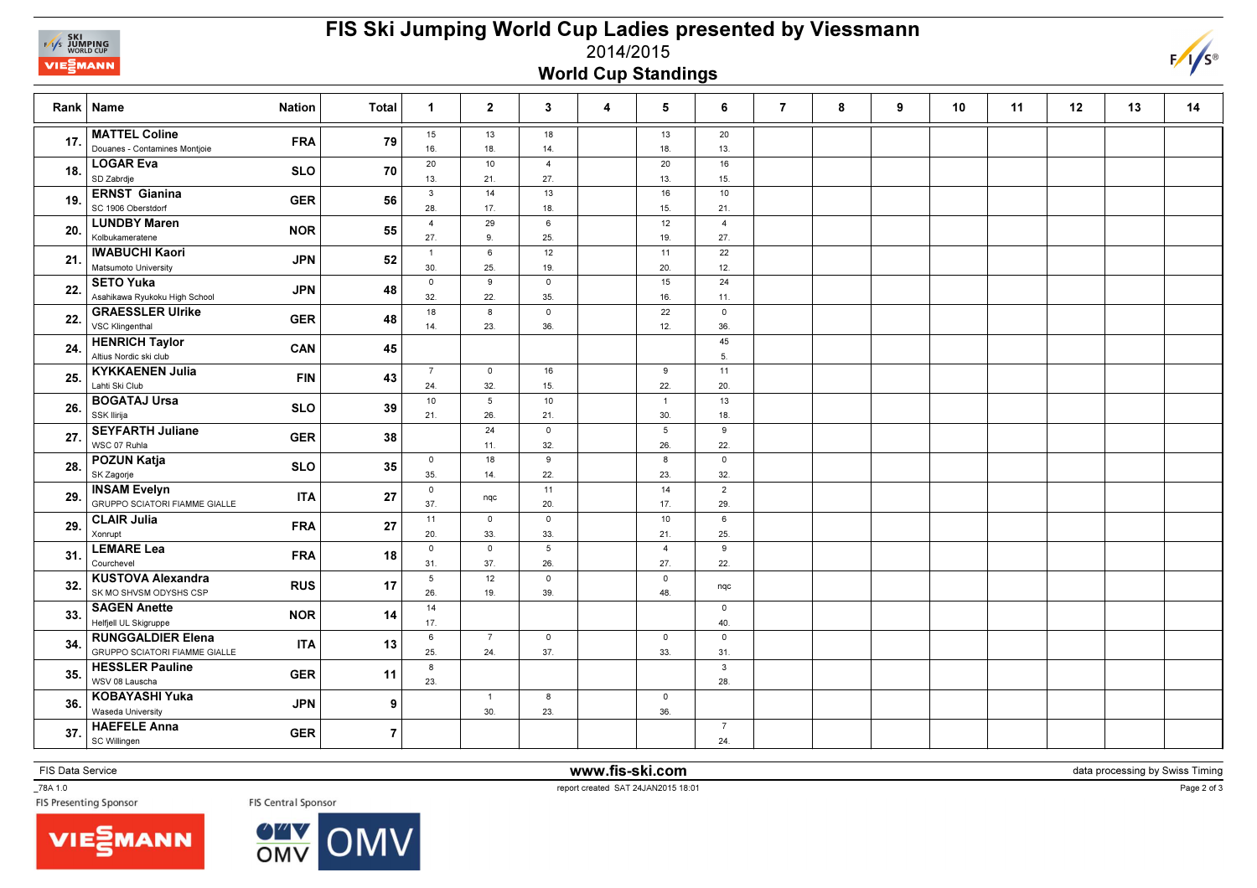

## FIS Ski Jumping World Cup Ladies presented by Viessmann2014/2015World Cup Standings



|     | <b>Nation</b><br>Rank Name                                                     | <b>Total</b>   | $\overline{1}$        | $\overline{2}$          | $\mathbf{3}$            | 4 | 5                      | 6                      | $\overline{7}$ | 8 | 9 | 10 | 11 | 12 | 13 | 14 |
|-----|--------------------------------------------------------------------------------|----------------|-----------------------|-------------------------|-------------------------|---|------------------------|------------------------|----------------|---|---|----|----|----|----|----|
| 17. | <b>MATTEL Coline</b><br><b>FRA</b><br>Douanes - Contamines Montjoie            | 79             | 15<br>16.             | 13<br>18.               | 18<br>14.               |   | 13<br>18.              | 20<br>13.              |                |   |   |    |    |    |    |    |
| 18. | <b>LOGAR Eva</b><br><b>SLO</b><br>SD Zabrdje                                   | 70             | 20<br>13.             | 10<br>21.               | $\overline{4}$<br>27.   |   | 20<br>13.              | 16<br>15.              |                |   |   |    |    |    |    |    |
| 19. | <b>ERNST Gianina</b><br><b>GER</b><br>SC 1906 Oberstdorf                       | 56             | $\mathbf{3}$<br>28.   | 14<br>17.               | 13<br>18.               |   | 16<br>15.              | 10 <sup>1</sup><br>21. |                |   |   |    |    |    |    |    |
| 20. | <b>LUNDBY Maren</b><br><b>NOR</b><br>Kolbukameratene                           | 55             | $\overline{4}$<br>27. | 29<br>9.                | 6<br>25.                |   | 12<br>19.              | $\overline{4}$<br>27.  |                |   |   |    |    |    |    |    |
| 21. | <b>IWABUCHI Kaori</b><br><b>JPN</b><br>Matsumoto University                    | 52             | $\mathbf{1}$<br>30.   | $6\phantom{a}$<br>25.   | 12<br>19.               |   | 11<br>20.              | 22<br>12.              |                |   |   |    |    |    |    |    |
| 22. | <b>SETO Yuka</b><br><b>JPN</b><br>Asahikawa Ryukoku High School                | 48             | $\mathsf 0$<br>32.    | $\overline{9}$<br>22.   | $\mathsf 0$<br>35.      |   | 15<br>16.              | 24<br>11.              |                |   |   |    |    |    |    |    |
| 22. | <b>GRAESSLER Ulrike</b><br><b>GER</b><br>VSC Klingenthal                       | 48             | 18<br>14.             | $\boldsymbol{8}$<br>23. | $\mathbf 0$<br>36.      |   | 22<br>12.              | $\mathbf 0$<br>36.     |                |   |   |    |    |    |    |    |
| 24. | <b>HENRICH Taylor</b><br>CAN<br>Altius Nordic ski club                         | 45             |                       |                         |                         |   |                        | 45<br>5.               |                |   |   |    |    |    |    |    |
| 25. | <b>KYKKAENEN Julia</b><br><b>FIN</b><br>Lahti Ski Club                         | 43             | $\overline{7}$<br>24. | $\circ$<br>32.          | 16<br>15.               |   | 9<br>22.               | 11<br>20.              |                |   |   |    |    |    |    |    |
| 26. | <b>BOGATAJ Ursa</b><br><b>SLO</b><br>SSK Ilirija                               | 39             | 10<br>21.             | $5\overline{)}$<br>26.  | 10 <sup>10</sup><br>21. |   | $\overline{1}$<br>30.  | 13<br>18.              |                |   |   |    |    |    |    |    |
| 27. | <b>SEYFARTH Juliane</b><br><b>GER</b><br>WSC 07 Ruhla                          | 38             |                       | 24<br>11.               | $\mathsf{o}$<br>32.     |   | $5\phantom{.0}$<br>26. | $\mathsf g$<br>22.     |                |   |   |    |    |    |    |    |
| 28. | <b>POZUN Katja</b><br><b>SLO</b><br>SK Zagorje                                 | 35             | $\mathbf 0$<br>35.    | 18<br>14.               | 9<br>22.                |   | 8<br>23.               | $\mathbf 0$<br>32.     |                |   |   |    |    |    |    |    |
| 29. | <b>INSAM Evelyn</b><br><b>ITA</b><br><b>GRUPPO SCIATORI FIAMME GIALLE</b>      | 27             | $\mathsf{o}\,$<br>37. | nqc                     | 11<br>20.               |   | 14<br>17.              | $\overline{2}$<br>29.  |                |   |   |    |    |    |    |    |
| 29. | <b>CLAIR Julia</b><br><b>FRA</b><br>Xonrupt                                    | 27             | 11<br>20.             | $\mathsf 0$<br>33.      | $\mathsf 0$<br>33.      |   | 10<br>21               | 6<br>25.               |                |   |   |    |    |    |    |    |
| 31  | <b>LEMARE Lea</b><br><b>FRA</b><br>Courchevel                                  | 18             | $\overline{0}$<br>31. | $\mathbf 0$<br>37.      | 5<br>26.                |   | $\overline{4}$<br>27.  | 9<br>22.               |                |   |   |    |    |    |    |    |
| 32. | <b>KUSTOVA Alexandra</b><br><b>RUS</b><br>SK MO SHVSM ODYSHS CSP               | 17             | 5<br>26.              | 12<br>19.               | $\mathbf 0$<br>39.      |   | $\mathsf 0$<br>48.     | nqc                    |                |   |   |    |    |    |    |    |
| 33. | <b>SAGEN Anette</b><br><b>NOR</b><br>Helfjell UL Skigruppe                     | 14             | 14<br>17.             |                         |                         |   |                        | $\circ$<br>40.         |                |   |   |    |    |    |    |    |
| 34  | <b>RUNGGALDIER Elena</b><br><b>ITA</b><br><b>GRUPPO SCIATORI FIAMME GIALLE</b> | 13             | 6<br>25.              | $\overline{7}$<br>24.   | $\mathsf 0$<br>37.      |   | $\mathbf 0$<br>33.     | $\mathsf 0$<br>31.     |                |   |   |    |    |    |    |    |
| 35. | <b>HESSLER Pauline</b><br><b>GER</b><br>WSV 08 Lauscha                         | 11             | 8<br>23.              |                         |                         |   |                        | $\mathbf{3}$<br>28.    |                |   |   |    |    |    |    |    |
| 36. | <b>KOBAYASHI Yuka</b><br><b>JPN</b><br>Waseda University                       | 9              |                       | $\overline{1}$<br>30.   | 8<br>23.                |   | $\mathsf 0$<br>36.     |                        |                |   |   |    |    |    |    |    |
| 37  | <b>HAEFELE Anna</b><br><b>GER</b><br>SC Willingen                              | $\overline{7}$ |                       |                         |                         |   |                        | $\overline{7}$<br>24.  |                |   |   |    |    |    |    |    |

FIS Data Service **www.fis-ski.com** 

data processing by Swiss Timing

\_78A 1.0





TEXT 1.0<br>FIS Presenting Sponsor The Senature of the Central Sponsor<br>FIS Presenting Sponsor The Senature of the Senature of the Senature of the Senature of the Senature of the Senature of the Senature of the Senature of the

Page 2 of 3